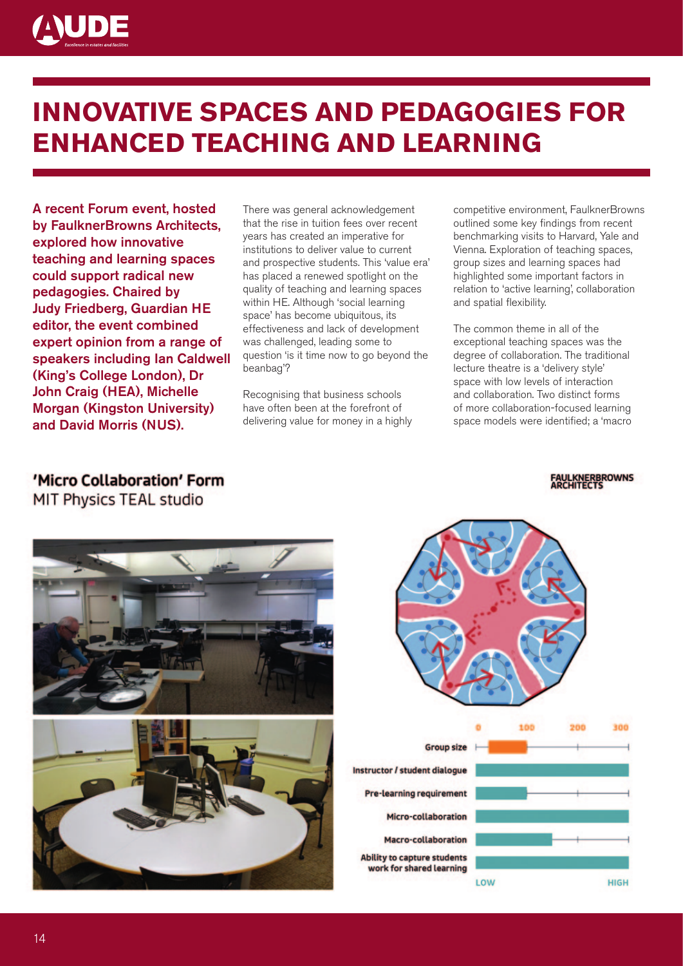

## **Innovative Spaces and Pedagogies for Enhanced Teaching and Learning**

A recent Forum event, hosted by FaulknerBrowns Architects, explored how innovative teaching and learning spaces could support radical new pedagogies. Chaired by Judy Friedberg, Guardian HE editor, the event combined expert opinion from a range of speakers including Ian Caldwell (King's College London), Dr John Craig (HEA), Michelle Morgan (Kingston University) and David Morris (NUS).

There was general acknowledgement that the rise in tuition fees over recent years has created an imperative for institutions to deliver value to current and prospective students. This 'value era' has placed a renewed spotlight on the quality of teaching and learning spaces within HE. Although 'social learning space' has become ubiquitous, its effectiveness and lack of development was challenged, leading some to question 'is it time now to go beyond the beanbag'?

Recognising that business schools have often been at the forefront of delivering value for money in a highly competitive environment, FaulknerBrowns outlined some key findings from recent benchmarking visits to Harvard, Yale and Vienna. Exploration of teaching spaces, group sizes and learning spaces had highlighted some important factors in relation to 'active learning', collaboration and spatial flexibility.

The common theme in all of the exceptional teaching spaces was the degree of collaboration. The traditional lecture theatre is a 'delivery style' space with low levels of interaction and collaboration. Two distinct forms of more collaboration-focused learning space models were identified; a 'macro

### 'Micro Collaboration' Form

MIT Physics TEAL studio



# 100 200



### **INERBROWNS**

300